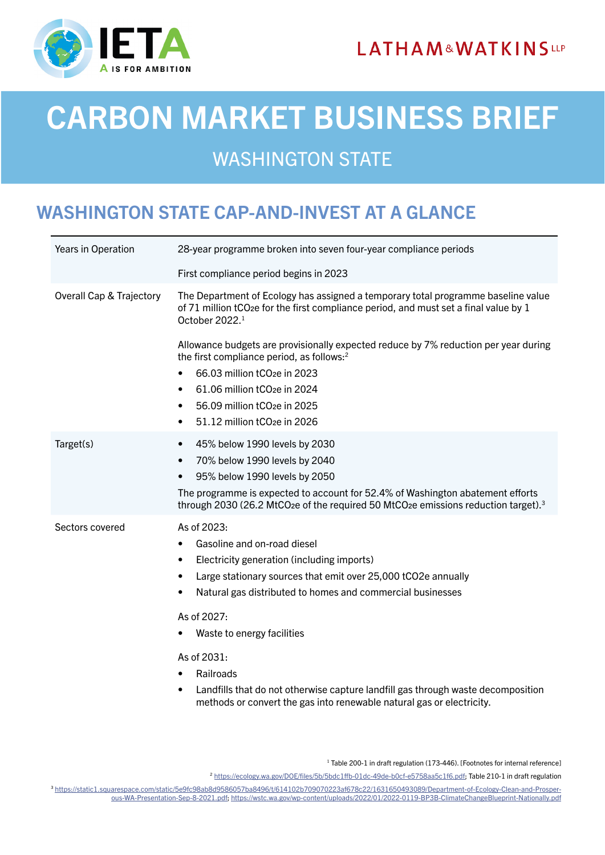



# CARBON MARKET BUSINESS BRIEF

## WASHINGTON STATE

### WASHINGTON STATE CAP-AND-INVEST AT A GLANCE

| Years in Operation                  | 28-year programme broken into seven four-year compliance periods                                                                                                                                                                                                                                                                                                  |
|-------------------------------------|-------------------------------------------------------------------------------------------------------------------------------------------------------------------------------------------------------------------------------------------------------------------------------------------------------------------------------------------------------------------|
|                                     | First compliance period begins in 2023                                                                                                                                                                                                                                                                                                                            |
| <b>Overall Cap &amp; Trajectory</b> | The Department of Ecology has assigned a temporary total programme baseline value<br>of 71 million tCO <sub>2</sub> e for the first compliance period, and must set a final value by 1<br>October 2022. <sup>1</sup>                                                                                                                                              |
|                                     | Allowance budgets are provisionally expected reduce by 7% reduction per year during<br>the first compliance period, as follows: <sup>2</sup><br>66.03 million tCO <sub>2</sub> e in 2023<br>61.06 million tCO <sub>2e</sub> in 2024<br>$\bullet$<br>56.09 million tCO <sub>2e</sub> in 2025<br>$\bullet$<br>51.12 million tCO <sub>2</sub> e in 2026<br>$\bullet$ |
| Target(s)                           | 45% below 1990 levels by 2030<br>$\bullet$<br>70% below 1990 levels by 2040<br>$\bullet$<br>95% below 1990 levels by 2050<br>$\bullet$<br>The programme is expected to account for 52.4% of Washington abatement efforts<br>through 2030 (26.2 MtCO <sub>2</sub> e of the required 50 MtCO <sub>2</sub> e emissions reduction target). <sup>3</sup>               |
| Sectors covered                     | As of 2023:<br>Gasoline and on-road diesel<br>٠<br>Electricity generation (including imports)<br>٠<br>Large stationary sources that emit over 25,000 tCO2e annually<br>$\bullet$<br>Natural gas distributed to homes and commercial businesses<br>٠                                                                                                               |
|                                     | As of 2027:<br>Waste to energy facilities                                                                                                                                                                                                                                                                                                                         |
|                                     | As of 2031:<br>Railroads<br>Landfills that do not otherwise capture landfill gas through waste decomposition<br>$\bullet$<br>methods or convert the gas into renewable natural gas or electricity.                                                                                                                                                                |

<sup>1</sup> Table 200-1 in draft regulation (173-446). [Footnotes for internal reference]

<sup>2</sup> [https://ecology.wa.gov/DOE/files/5b/5bdc1ffb-01dc-49de-b0cf-e5758aa5c1f6.pdf;](https://ecology.wa.gov/DOE/files/5b/5bdc1ffb-01dc-49de-b0cf-e5758aa5c1f6.pdf) Table 210-1 in draft regulation

<sup>3</sup> [https://static1.squarespace.com/static/5e9fc98ab8d9586057ba8496/t/614102b709070223af678c22/1631650493089/Department-of-Ecology-Clean-and-Prosper](https://static1.squarespace.com/static/5e9fc98ab8d9586057ba8496/t/614102b709070223af678c22/163165049)[ous-WA-Presentation-Sep-8-2021.pdf;](https://static1.squarespace.com/static/5e9fc98ab8d9586057ba8496/t/614102b709070223af678c22/163165049)<https://wstc.wa.gov/wp-content/uploads/2022/01/2022-0119-BP3B-ClimateChangeBlueprint-Nationally.pdf>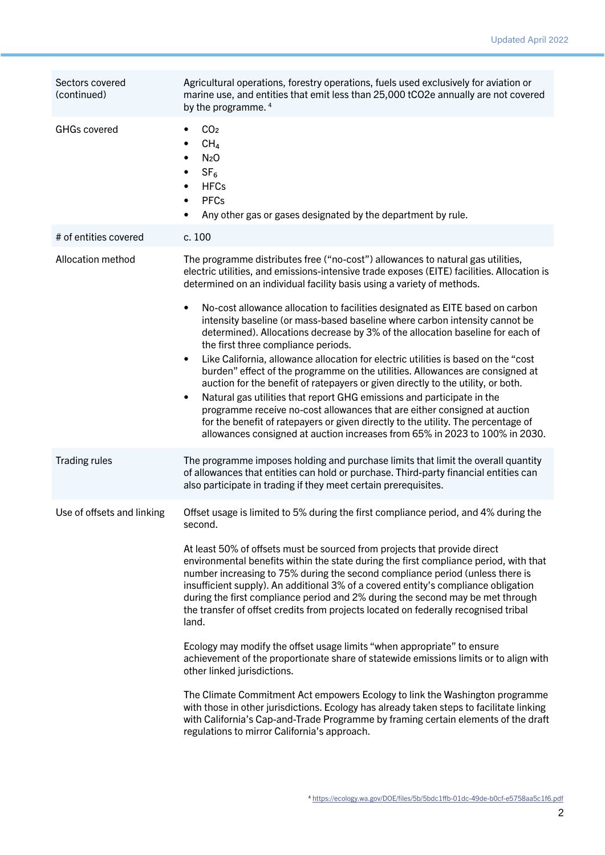| Sectors covered<br>(continued) | Agricultural operations, forestry operations, fuels used exclusively for aviation or<br>marine use, and entities that emit less than 25,000 tCO2e annually are not covered<br>by the programme. 4                                                                                                                                                                                                                                                                                                                                                                                                             |
|--------------------------------|---------------------------------------------------------------------------------------------------------------------------------------------------------------------------------------------------------------------------------------------------------------------------------------------------------------------------------------------------------------------------------------------------------------------------------------------------------------------------------------------------------------------------------------------------------------------------------------------------------------|
| <b>GHGs covered</b>            | CO <sub>2</sub><br>CH <sub>4</sub><br>N <sub>2</sub> O<br>$\bullet$<br>SF <sub>6</sub><br>$\bullet$<br><b>HFCs</b><br>$\bullet$<br><b>PFCs</b><br>$\bullet$<br>Any other gas or gases designated by the department by rule.                                                                                                                                                                                                                                                                                                                                                                                   |
| # of entities covered          | c. 100                                                                                                                                                                                                                                                                                                                                                                                                                                                                                                                                                                                                        |
| Allocation method              | The programme distributes free ("no-cost") allowances to natural gas utilities,<br>electric utilities, and emissions-intensive trade exposes (EITE) facilities. Allocation is<br>determined on an individual facility basis using a variety of methods.                                                                                                                                                                                                                                                                                                                                                       |
|                                | No-cost allowance allocation to facilities designated as EITE based on carbon<br>$\bullet$<br>intensity baseline (or mass-based baseline where carbon intensity cannot be<br>determined). Allocations decrease by 3% of the allocation baseline for each of<br>the first three compliance periods.                                                                                                                                                                                                                                                                                                            |
|                                | Like California, allowance allocation for electric utilities is based on the "cost"<br>$\bullet$<br>burden" effect of the programme on the utilities. Allowances are consigned at<br>auction for the benefit of ratepayers or given directly to the utility, or both.<br>Natural gas utilities that report GHG emissions and participate in the<br>$\bullet$<br>programme receive no-cost allowances that are either consigned at auction<br>for the benefit of ratepayers or given directly to the utility. The percentage of<br>allowances consigned at auction increases from 65% in 2023 to 100% in 2030. |
| <b>Trading rules</b>           | The programme imposes holding and purchase limits that limit the overall quantity<br>of allowances that entities can hold or purchase. Third-party financial entities can<br>also participate in trading if they meet certain prerequisites.                                                                                                                                                                                                                                                                                                                                                                  |
| Use of offsets and linking     | Offset usage is limited to 5% during the first compliance period, and 4% during the<br>second.                                                                                                                                                                                                                                                                                                                                                                                                                                                                                                                |
|                                | At least 50% of offsets must be sourced from projects that provide direct<br>environmental benefits within the state during the first compliance period, with that<br>number increasing to 75% during the second compliance period (unless there is<br>insufficient supply). An additional 3% of a covered entity's compliance obligation<br>during the first compliance period and 2% during the second may be met through<br>the transfer of offset credits from projects located on federally recognised tribal<br>land.                                                                                   |
|                                | Ecology may modify the offset usage limits "when appropriate" to ensure<br>achievement of the proportionate share of statewide emissions limits or to align with<br>other linked jurisdictions.                                                                                                                                                                                                                                                                                                                                                                                                               |
|                                | The Climate Commitment Act empowers Ecology to link the Washington programme<br>with those in other jurisdictions. Ecology has already taken steps to facilitate linking<br>with California's Cap-and-Trade Programme by framing certain elements of the draft<br>regulations to mirror California's approach.                                                                                                                                                                                                                                                                                                |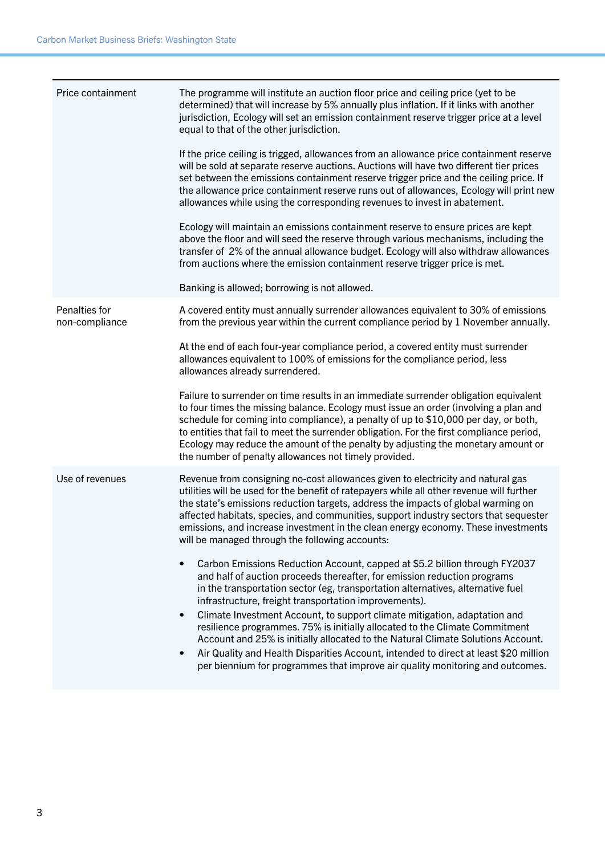| Price containment               | The programme will institute an auction floor price and ceiling price (yet to be<br>determined) that will increase by 5% annually plus inflation. If it links with another<br>jurisdiction, Ecology will set an emission containment reserve trigger price at a level<br>equal to that of the other jurisdiction.<br>If the price ceiling is trigged, allowances from an allowance price containment reserve<br>will be sold at separate reserve auctions. Auctions will have two different tier prices<br>set between the emissions containment reserve trigger price and the ceiling price. If<br>the allowance price containment reserve runs out of allowances, Ecology will print new<br>allowances while using the corresponding revenues to invest in abatement.<br>Ecology will maintain an emissions containment reserve to ensure prices are kept<br>above the floor and will seed the reserve through various mechanisms, including the<br>transfer of 2% of the annual allowance budget. Ecology will also withdraw allowances<br>from auctions where the emission containment reserve trigger price is met.                                                                                                                                   |
|---------------------------------|------------------------------------------------------------------------------------------------------------------------------------------------------------------------------------------------------------------------------------------------------------------------------------------------------------------------------------------------------------------------------------------------------------------------------------------------------------------------------------------------------------------------------------------------------------------------------------------------------------------------------------------------------------------------------------------------------------------------------------------------------------------------------------------------------------------------------------------------------------------------------------------------------------------------------------------------------------------------------------------------------------------------------------------------------------------------------------------------------------------------------------------------------------------------------------------------------------------------------------------------------------|
|                                 | Banking is allowed; borrowing is not allowed.                                                                                                                                                                                                                                                                                                                                                                                                                                                                                                                                                                                                                                                                                                                                                                                                                                                                                                                                                                                                                                                                                                                                                                                                              |
| Penalties for<br>non-compliance | A covered entity must annually surrender allowances equivalent to 30% of emissions<br>from the previous year within the current compliance period by 1 November annually.                                                                                                                                                                                                                                                                                                                                                                                                                                                                                                                                                                                                                                                                                                                                                                                                                                                                                                                                                                                                                                                                                  |
|                                 | At the end of each four-year compliance period, a covered entity must surrender<br>allowances equivalent to 100% of emissions for the compliance period, less<br>allowances already surrendered.                                                                                                                                                                                                                                                                                                                                                                                                                                                                                                                                                                                                                                                                                                                                                                                                                                                                                                                                                                                                                                                           |
|                                 | Failure to surrender on time results in an immediate surrender obligation equivalent<br>to four times the missing balance. Ecology must issue an order (involving a plan and<br>schedule for coming into compliance), a penalty of up to \$10,000 per day, or both,<br>to entities that fail to meet the surrender obligation. For the first compliance period,<br>Ecology may reduce the amount of the penalty by adjusting the monetary amount or<br>the number of penalty allowances not timely provided.                                                                                                                                                                                                                                                                                                                                                                                                                                                                                                                                                                                                                                                                                                                                               |
| Use of revenues                 | Revenue from consigning no-cost allowances given to electricity and natural gas<br>utilities will be used for the benefit of ratepayers while all other revenue will further<br>the state's emissions reduction targets, address the impacts of global warming on<br>affected habitats, species, and communities, support industry sectors that sequester<br>emissions, and increase investment in the clean energy economy. These investments<br>will be managed through the following accounts:<br>Carbon Emissions Reduction Account, capped at \$5.2 billion through FY2037<br>and half of auction proceeds thereafter, for emission reduction programs<br>in the transportation sector (eg, transportation alternatives, alternative fuel<br>infrastructure, freight transportation improvements).<br>Climate Investment Account, to support climate mitigation, adaptation and<br>$\bullet$<br>resilience programmes. 75% is initially allocated to the Climate Commitment<br>Account and 25% is initially allocated to the Natural Climate Solutions Account.<br>Air Quality and Health Disparities Account, intended to direct at least \$20 million<br>$\bullet$<br>per biennium for programmes that improve air quality monitoring and outcomes. |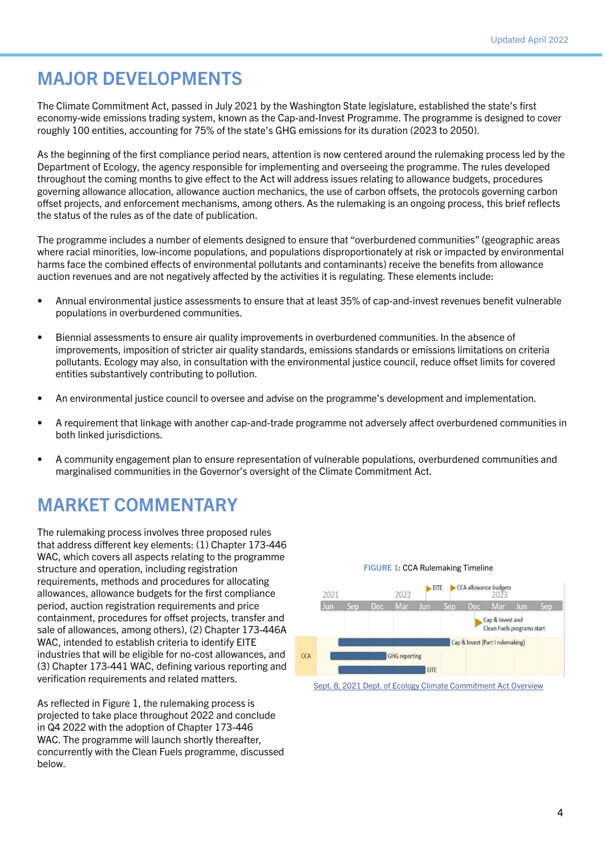#### MAJOR DEVELOPMENTS

The Climate Commitment Act, passed in July 2021 by the Washington State legislature, established the state's first economy-wide emissions trading system, known as the Cap-and-Invest Programme. The programme is designed to cover roughly 100 entities, accounting for 75% of the state's GHG emissions for its duration (2023 to 2050).

As the beginning of the first compliance period nears, attention is now centered around the rulemaking process led by the Department of Ecology, the agency responsible for implementing and overseeing the programme. The rules developed throughout the coming months to give effect to the Act will address issues relating to allowance budgets, procedures governing allowance allocation, allowance auction mechanics, the use of carbon offsets, the protocols governing carbon offset projects, and enforcement mechanisms, among others. As the rulemaking is an ongoing process, this brief reflects the status of the rules as of the date of publication.

The programme includes a number of elements designed to ensure that "overburdened communities" (geographic areas where racial minorities, low-income populations, and populations disproportionately at risk or impacted by environmental harms face the combined effects of environmental pollutants and contaminants) receive the benefits from allowance auction revenues and are not negatively affected by the activities it is regulating. These elements include:

- Annual environmental justice assessments to ensure that at least 35% of cap-and-invest revenues benefit vulnerable populations in overburdened communities.
- Biennial assessments to ensure air quality improvements in overburdened communities. In the absence of improvements, imposition of stricter air quality standards, emissions standards or emissions limitations on criteria pollutants. Ecology may also, in consultation with the environmental justice council, reduce offset limits for covered entities substantively contributing to pollution.
- An environmental justice council to oversee and advise on the programme's development and implementation.
- A requirement that linkage with another cap-and-trade programme not adversely affect overburdened communities in both linked jurisdictions.
- A community engagement plan to ensure representation of vulnerable populations, overburdened communities and marginalised communities in the Governor's oversight of the Climate Commitment Act.

### MARKET COMMENTARY

The rulemaking process involves three proposed rules that address different key elements: (1) Chapter 173-446 WAC, which covers all aspects relating to the programme structure and operation, including registration requirements, methods and procedures for allocating allowances, allowance budgets for the first compliance period, auction registration requirements and price containment, procedures for offset projects, transfer and sale of allowances, among others), (2) Chapter 173-446A WAC, intended to establish criteria to identify EITE industries that will be eligible for no-cost allowances, and (3) Chapter 173-441 WAC, defining various reporting and verification requirements and related matters.

As reflected in Figure 1, the rulemaking process is projected to take place throughout 2022 and conclude in Q4 2022 with the adoption of Chapter 173-446 WAC. The programme will launch shortly thereafter. concurrently with the Clean Fuels programme, discussed below.

#### FIGURE 1: CCA Rulemaking Timeline



[Sept. 8, 2021 Dept. of Ecology Climate Commitment Act Overview](https://static1.squarespace.com/static/5e9fc98ab8d9586057ba8496/t/614102b709070223af678c22/1631650493089/Department-of-Ecology-Clean-and-Prosperous-WA-Presentation-Sep-8-2021.pdf)